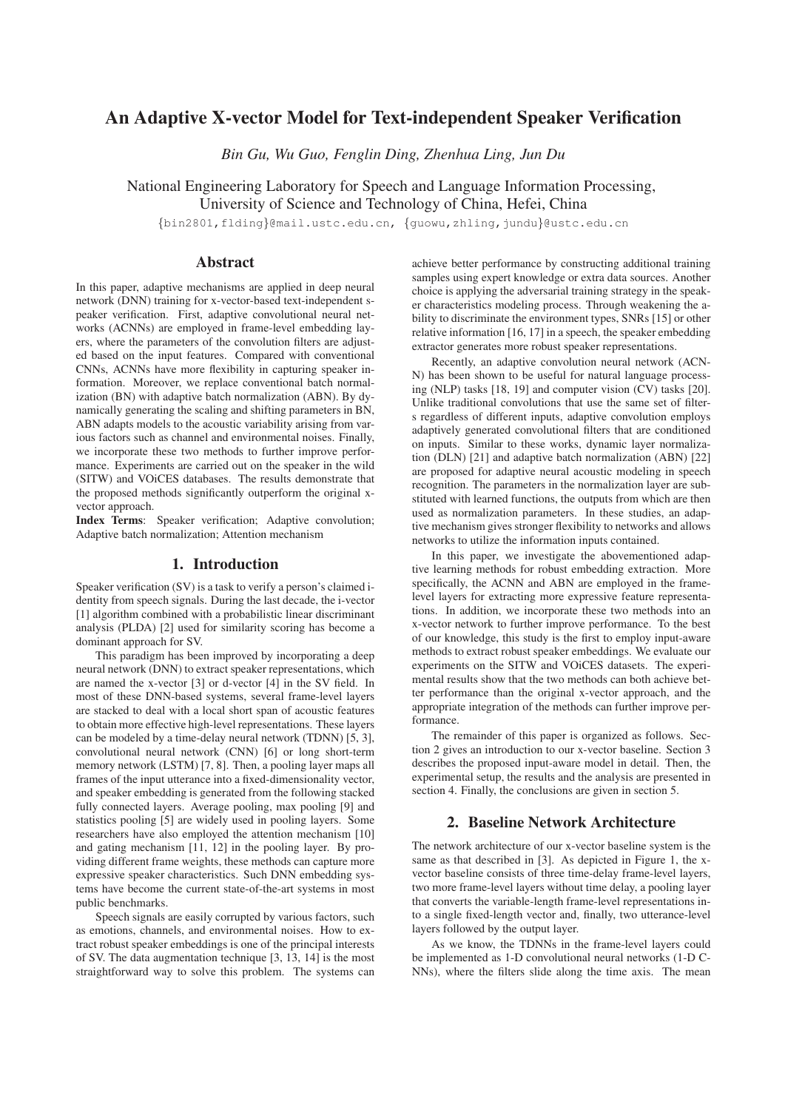# An Adaptive X-vector Model for Text-independent Speaker Verification

*Bin Gu, Wu Guo, Fenglin Ding, Zhenhua Ling, Jun Du*

National Engineering Laboratory for Speech and Language Information Processing, University of Science and Technology of China, Hefei, China

{bin2801,flding}@mail.ustc.edu.cn, {guowu,zhling,jundu}@ustc.edu.cn

# Abstract

In this paper, adaptive mechanisms are applied in deep neural network (DNN) training for x-vector-based text-independent speaker verification. First, adaptive convolutional neural networks (ACNNs) are employed in frame-level embedding layers, where the parameters of the convolution filters are adjusted based on the input features. Compared with conventional CNNs, ACNNs have more flexibility in capturing speaker information. Moreover, we replace conventional batch normalization (BN) with adaptive batch normalization (ABN). By dynamically generating the scaling and shifting parameters in BN, ABN adapts models to the acoustic variability arising from various factors such as channel and environmental noises. Finally, we incorporate these two methods to further improve performance. Experiments are carried out on the speaker in the wild (SITW) and VOiCES databases. The results demonstrate that the proposed methods significantly outperform the original xvector approach.

Index Terms: Speaker verification; Adaptive convolution; Adaptive batch normalization; Attention mechanism

# 1. Introduction

Speaker verification (SV) is a task to verify a person's claimed identity from speech signals. During the last decade, the i-vector [1] algorithm combined with a probabilistic linear discriminant analysis (PLDA) [2] used for similarity scoring has become a dominant approach for SV.

This paradigm has been improved by incorporating a deep neural network (DNN) to extract speaker representations, which are named the x-vector [3] or d-vector [4] in the SV field. In most of these DNN-based systems, several frame-level layers are stacked to deal with a local short span of acoustic features to obtain more effective high-level representations. These layers can be modeled by a time-delay neural network (TDNN) [5, 3], convolutional neural network (CNN) [6] or long short-term memory network (LSTM) [7, 8]. Then, a pooling layer maps all frames of the input utterance into a fixed-dimensionality vector, and speaker embedding is generated from the following stacked fully connected layers. Average pooling, max pooling [9] and statistics pooling [5] are widely used in pooling layers. Some researchers have also employed the attention mechanism [10] and gating mechanism [11, 12] in the pooling layer. By providing different frame weights, these methods can capture more expressive speaker characteristics. Such DNN embedding systems have become the current state-of-the-art systems in most public benchmarks.

Speech signals are easily corrupted by various factors, such as emotions, channels, and environmental noises. How to extract robust speaker embeddings is one of the principal interests of SV. The data augmentation technique [3, 13, 14] is the most straightforward way to solve this problem. The systems can achieve better performance by constructing additional training samples using expert knowledge or extra data sources. Another choice is applying the adversarial training strategy in the speaker characteristics modeling process. Through weakening the ability to discriminate the environment types, SNRs [15] or other relative information [16, 17] in a speech, the speaker embedding extractor generates more robust speaker representations.

Recently, an adaptive convolution neural network (ACN-N) has been shown to be useful for natural language processing (NLP) tasks [18, 19] and computer vision (CV) tasks [20]. Unlike traditional convolutions that use the same set of filters regardless of different inputs, adaptive convolution employs adaptively generated convolutional filters that are conditioned on inputs. Similar to these works, dynamic layer normalization (DLN) [21] and adaptive batch normalization (ABN) [22] are proposed for adaptive neural acoustic modeling in speech recognition. The parameters in the normalization layer are substituted with learned functions, the outputs from which are then used as normalization parameters. In these studies, an adaptive mechanism gives stronger flexibility to networks and allows networks to utilize the information inputs contained.

In this paper, we investigate the abovementioned adaptive learning methods for robust embedding extraction. More specifically, the ACNN and ABN are employed in the framelevel layers for extracting more expressive feature representations. In addition, we incorporate these two methods into an x-vector network to further improve performance. To the best of our knowledge, this study is the first to employ input-aware methods to extract robust speaker embeddings. We evaluate our experiments on the SITW and VOiCES datasets. The experimental results show that the two methods can both achieve better performance than the original x-vector approach, and the appropriate integration of the methods can further improve performance.

The remainder of this paper is organized as follows. Section 2 gives an introduction to our x-vector baseline. Section 3 describes the proposed input-aware model in detail. Then, the experimental setup, the results and the analysis are presented in section 4. Finally, the conclusions are given in section 5.

## 2. Baseline Network Architecture

The network architecture of our x-vector baseline system is the same as that described in [3]. As depicted in Figure 1, the xvector baseline consists of three time-delay frame-level layers, two more frame-level layers without time delay, a pooling layer that converts the variable-length frame-level representations into a single fixed-length vector and, finally, two utterance-level layers followed by the output layer.

As we know, the TDNNs in the frame-level layers could be implemented as 1-D convolutional neural networks (1-D C-NNs), where the filters slide along the time axis. The mean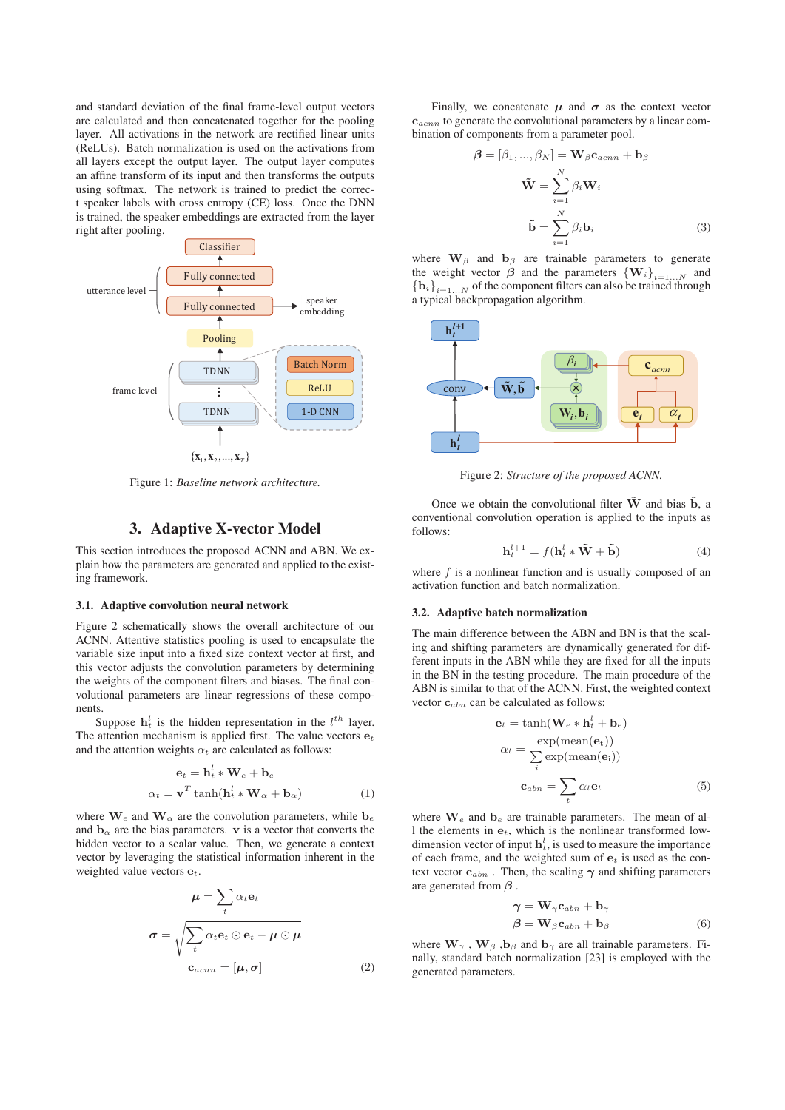and standard deviation of the final frame-level output vectors are calculated and then concatenated together for the pooling layer. All activations in the network are rectified linear units (ReLUs). Batch normalization is used on the activations from all layers except the output layer. The output layer computes an affine transform of its input and then transforms the outputs using softmax. The network is trained to predict the correct speaker labels with cross entropy (CE) loss. Once the DNN is trained, the speaker embeddings are extracted from the layer right after pooling.



Figure 1: *Baseline network architecture.*

## 3. Adaptive X-vector Model

This section introduces the proposed ACNN and ABN. We explain how the parameters are generated and applied to the existing framework.

#### 3.1. Adaptive convolution neural network

Figure 2 schematically shows the overall architecture of our ACNN. Attentive statistics pooling is used to encapsulate the variable size input into a fixed size context vector at first, and this vector adjusts the convolution parameters by determining the weights of the component filters and biases. The final convolutional parameters are linear regressions of these components.

Suppose  $\mathbf{h}_t^l$  is the hidden representation in the  $l^{th}$  layer. The attention mechanism is applied first. The value vectors  $e_t$ and the attention weights  $\alpha_t$  are calculated as follows:

$$
\mathbf{e}_t = \mathbf{h}_t^l * \mathbf{W}_e + \mathbf{b}_e
$$

$$
\alpha_t = \mathbf{v}^T \tanh(\mathbf{h}_t^l * \mathbf{W}_\alpha + \mathbf{b}_\alpha)
$$
(1)

where  $\mathbf{W}_e$  and  $\mathbf{W}_\alpha$  are the convolution parameters, while  $\mathbf{b}_e$ and  $\mathbf{b}_{\alpha}$  are the bias parameters. **v** is a vector that converts the hidden vector to a scalar value. Then, we generate a context vector by leveraging the statistical information inherent in the weighted value vectors **e***t*.

$$
\mu = \sum_{t} \alpha_{t} \mathbf{e}_{t}
$$

$$
\sigma = \sqrt{\sum_{t} \alpha_{t} \mathbf{e}_{t} \odot \mathbf{e}_{t} - \mu \odot \mu}
$$

$$
\mathbf{c}_{acnn} = [\mu, \sigma]
$$
(2)

Finally, we concatenate  $\mu$  and  $\sigma$  as the context vector **c***acnn* to generate the convolutional parameters by a linear combination of components from a parameter pool.

$$
\boldsymbol{\beta} = [\beta_1, ..., \beta_N] = \mathbf{W}_{\beta} \mathbf{c}_{acnn} + \mathbf{b}_{\beta}
$$

$$
\tilde{\mathbf{W}} = \sum_{i=1}^{N} \beta_i \mathbf{W}_i
$$

$$
\tilde{\mathbf{b}} = \sum_{i=1}^{N} \beta_i \mathbf{b}_i
$$
(3)

where  $\mathbf{W}_{\beta}$  and  $\mathbf{b}_{\beta}$  are trainable parameters to generate the weight vector  $\boldsymbol{\beta}$  and the parameters  ${\bf \{W}_i\}_{i=1...N}$  and  ${\bf b}_i\}_{i=1...N}$  of the component filters can also be trained through a typical backpropagation algorithm.



Figure 2: *Structure of the proposed ACNN.*

Once we obtain the convolutional filter  $\tilde{W}$  and bias  $\tilde{b}$ , a conventional convolution operation is applied to the inputs as follows:

$$
\mathbf{h}_t^{l+1} = f(\mathbf{h}_t^l * \tilde{\mathbf{W}} + \tilde{\mathbf{b}})
$$
(4)

where  $f$  is a nonlinear function and is usually composed of an activation function and batch normalization.

#### 3.2. Adaptive batch normalization

The main difference between the ABN and BN is that the scaling and shifting parameters are dynamically generated for different inputs in the ABN while they are fixed for all the inputs in the BN in the testing procedure. The main procedure of the ABN is similar to that of the ACNN. First, the weighted context vector **c***abn* can be calculated as follows:

$$
\mathbf{e}_{t} = \tanh(\mathbf{W}_{e} * \mathbf{h}_{t}^{l} + \mathbf{b}_{e})
$$

$$
\alpha_{t} = \frac{\exp(\text{mean}(\mathbf{e}_{t}))}{\sum_{i} \exp(\text{mean}(\mathbf{e}_{i}))}
$$

$$
\mathbf{c}_{abn} = \sum_{t} \alpha_{t} \mathbf{e}_{t} \tag{5}
$$

where  $\mathbf{W}_e$  and  $\mathbf{b}_e$  are trainable parameters. The mean of all the elements in **e***t*, which is the nonlinear transformed lowdimension vector of input  $\mathbf{h}^l_t$ , is used to measure the importance of each frame, and the weighted sum of **e***<sup>t</sup>* is used as the context vector  $c_{abn}$ . Then, the scaling  $\gamma$  and shifting parameters are generated from *β* .

$$
\gamma = \mathbf{W}_{\gamma} \mathbf{c}_{abn} + \mathbf{b}_{\gamma} \n\beta = \mathbf{W}_{\beta} \mathbf{c}_{abn} + \mathbf{b}_{\beta}
$$
\n(6)

where  $\mathbf{W}_{\gamma}$ ,  $\mathbf{W}_{\beta}$ ,  $\mathbf{b}_{\beta}$  and  $\mathbf{b}_{\gamma}$  are all trainable parameters. Finally, standard batch normalization [23] is employed with the generated parameters.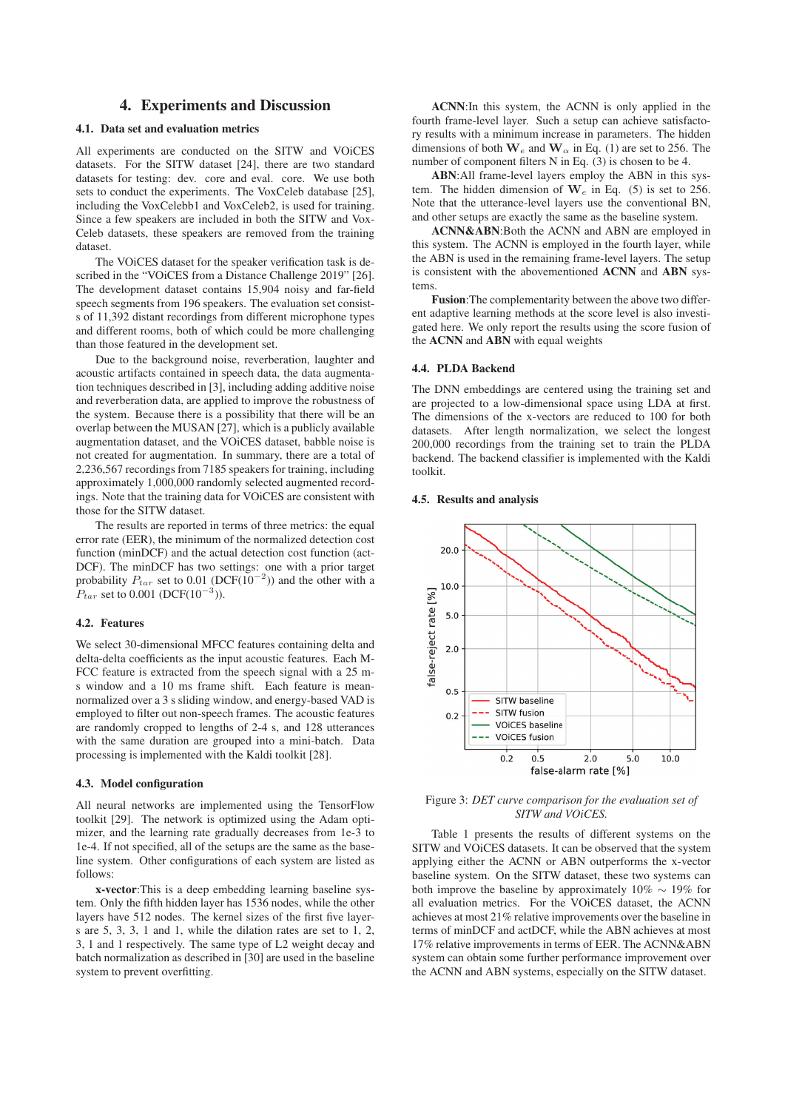# 4. Experiments and Discussion

## 4.1. Data set and evaluation metrics

All experiments are conducted on the SITW and VOiCES datasets. For the SITW dataset [24], there are two standard datasets for testing: dev. core and eval. core. We use both sets to conduct the experiments. The VoxCeleb database [25], including the VoxCelebb1 and VoxCeleb2, is used for training. Since a few speakers are included in both the SITW and Vox-Celeb datasets, these speakers are removed from the training dataset.

The VOiCES dataset for the speaker verification task is described in the "VOiCES from a Distance Challenge 2019" [26]. The development dataset contains 15,904 noisy and far-field speech segments from 196 speakers. The evaluation set consists of 11,392 distant recordings from different microphone types and different rooms, both of which could be more challenging than those featured in the development set.

Due to the background noise, reverberation, laughter and acoustic artifacts contained in speech data, the data augmentation techniques described in [3], including adding additive noise and reverberation data, are applied to improve the robustness of the system. Because there is a possibility that there will be an overlap between the MUSAN [27], which is a publicly available augmentation dataset, and the VOiCES dataset, babble noise is not created for augmentation. In summary, there are a total of 2,236,567 recordings from 7185 speakers for training, including approximately 1,000,000 randomly selected augmented recordings. Note that the training data for VOiCES are consistent with those for the SITW dataset.

The results are reported in terms of three metrics: the equal error rate (EER), the minimum of the normalized detection cost function (minDCF) and the actual detection cost function (act-DCF). The minDCF has two settings: one with a prior target probability  $P_{tar}$  set to 0.01 (DCF(10<sup>-2</sup>)) and the other with a  $P_{tar}$  set to 0.001 (DCF(10<sup>-3</sup>)).

#### 4.2. Features

We select 30-dimensional MFCC features containing delta and delta-delta coefficients as the input acoustic features. Each M-FCC feature is extracted from the speech signal with a 25 ms window and a 10 ms frame shift. Each feature is meannormalized over a 3 s sliding window, and energy-based VAD is employed to filter out non-speech frames. The acoustic features are randomly cropped to lengths of 2-4 s, and 128 utterances with the same duration are grouped into a mini-batch. Data processing is implemented with the Kaldi toolkit [28].

### 4.3. Model configuration

All neural networks are implemented using the TensorFlow toolkit [29]. The network is optimized using the Adam optimizer, and the learning rate gradually decreases from 1e-3 to 1e-4. If not specified, all of the setups are the same as the baseline system. Other configurations of each system are listed as follows:

x-vector:This is a deep embedding learning baseline system. Only the fifth hidden layer has 1536 nodes, while the other layers have 512 nodes. The kernel sizes of the first five layers are 5, 3, 3, 1 and 1, while the dilation rates are set to 1, 2, 3, 1 and 1 respectively. The same type of L2 weight decay and batch normalization as described in [30] are used in the baseline system to prevent overfitting.

ACNN:In this system, the ACNN is only applied in the fourth frame-level layer. Such a setup can achieve satisfactory results with a minimum increase in parameters. The hidden dimensions of both **W***<sup>e</sup>* and **W***<sup>α</sup>* in Eq. (1) are set to 256. The number of component filters N in Eq. (3) is chosen to be 4.

ABN:All frame-level layers employ the ABN in this system. The hidden dimension of **W***<sup>e</sup>* in Eq. (5) is set to 256. Note that the utterance-level layers use the conventional BN, and other setups are exactly the same as the baseline system.

ACNN&ABN:Both the ACNN and ABN are employed in this system. The ACNN is employed in the fourth layer, while the ABN is used in the remaining frame-level layers. The setup is consistent with the abovementioned ACNN and ABN systems.

Fusion:The complementarity between the above two different adaptive learning methods at the score level is also investigated here. We only report the results using the score fusion of the ACNN and ABN with equal weights

#### 4.4. PLDA Backend

The DNN embeddings are centered using the training set and are projected to a low-dimensional space using LDA at first. The dimensions of the x-vectors are reduced to 100 for both datasets. After length normalization, we select the longest 200,000 recordings from the training set to train the PLDA backend. The backend classifier is implemented with the Kaldi toolkit.

#### 4.5. Results and analysis



Figure 3: *DET curve comparison for the evaluation set of SITW and VOiCES.*

Table 1 presents the results of different systems on the SITW and VOiCES datasets. It can be observed that the system applying either the ACNN or ABN outperforms the x-vector baseline system. On the SITW dataset, these two systems can both improve the baseline by approximately 10% ∼ 19% for all evaluation metrics. For the VOiCES dataset, the ACNN achieves at most 21% relative improvements over the baseline in terms of minDCF and actDCF, while the ABN achieves at most 17% relative improvements in terms of EER. The ACNN&ABN system can obtain some further performance improvement over the ACNN and ABN systems, especially on the SITW dataset.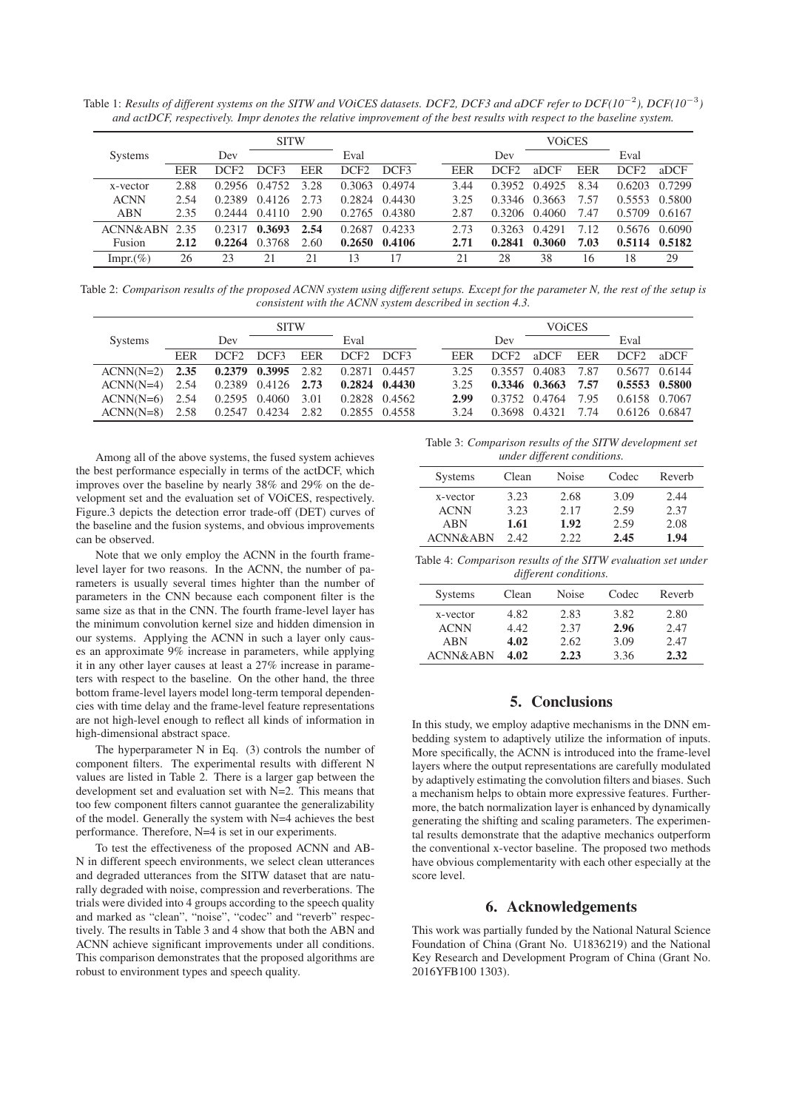Table 1: *Results of different systems on the SITW and VOiCES datasets. DCF2, DCF3 and aDCF refer to DCF(10*−<sup>2</sup>*), DCF(10*−<sup>3</sup>*) and actDCF, respectively. Impr denotes the relative improvement of the best results with respect to the baseline system.*

|                | <b>SITW</b> |        |        |      |                  |        | <b>VOICES</b> |        |        |            |        |         |
|----------------|-------------|--------|--------|------|------------------|--------|---------------|--------|--------|------------|--------|---------|
| <b>Systems</b> |             | Dev    |        |      | Eval             |        |               | Dev    |        |            | Eval   |         |
|                | EER         | DCF2   | DCF3   | EER  | DCF <sub>2</sub> | DCF3   | <b>EER</b>    | DCF2   | aDCF   | <b>EER</b> | DCF2   | $a$ DCF |
| x-vector       | 2.88        | 0.2956 | 0.4752 | 3.28 | 0.3063           | 0.4974 | 3.44          | 0.3952 | 0.4925 | 8.34       | 0.6203 | 0.7299  |
| <b>ACNN</b>    | 2.54        | 0.2389 | 0.4126 | 2.73 | 0.2824           | 0.4430 | 3.25          | 0.3346 | 0.3663 | 7.57       | 0.5553 | 0.5800  |
| <b>ABN</b>     | 2.35        | 0.2444 | 0.4110 | 2.90 | 0.2765           | 0.4380 | 2.87          | 0.3206 | 0.4060 | 7.47       | 0.5709 | 0.6167  |
| ACNN&ABN       | 2.35        | 0.2317 | 0.3693 | 2.54 | 0.2687           | 0.4233 | 2.73          | 0.3263 | 0.4291 | 7.12       | 0.5676 | 0.6090  |
| Fusion         | 2.12        | 0.2264 | 0.3768 | 2.60 | 0.2650           | 0.4106 | 2.71          | 0.2841 | 0.3060 | 7.03       | 0.5114 | 0.5182  |
| Impr. $(\%)$   | 26          | 23     | 21     | 21   | 13               | 17     | 21            | 28     | 38     | 16         | 18     | 29      |

Table 2: *Comparison results of the proposed ACNN system using different setups. Except for the parameter N, the rest of the setup is consistent with the ACNN system described in section 4.3.*

| <b>SITW</b>      |            |                  |                               |     | <b>VOICES</b>     |  |      |                  |                   |      |                   |  |
|------------------|------------|------------------|-------------------------------|-----|-------------------|--|------|------------------|-------------------|------|-------------------|--|
| <b>Systems</b>   |            | Dev              |                               |     | Eval              |  |      | Dev              |                   |      | Eval              |  |
|                  | <b>EER</b> | DCF <sub>2</sub> | DCF3                          | EER | DCF2 DCF3         |  | EER  | DCF <sub>2</sub> | aDCF              | EER  | DCF2 aDCF         |  |
| $ACNN(N=2)$ 2.35 |            |                  | $0.2379$ $0.3995$ $2.82$      |     | 0.2871 0.4457     |  | 3.25 | 0.3557 0.4083    |                   | 7.87 | 0.5677 0.6144     |  |
| $ACNN(N=4)$ 2.54 |            |                  | $0.2389$ $0.4126$ <b>2.73</b> |     | $0.2824$ $0.4430$ |  | 3.25 |                  | $0.3346$ $0.3663$ | 7.57 | $0.5553$ $0.5800$ |  |
| $ACNN(N=6)$ 2.54 |            |                  | 0.2595 0.4060 3.01            |     | 0.2828 0.4562     |  | 2.99 | 0.3752 0.4764    |                   | 7.95 | 0.6158 0.7067     |  |
| $ACNN(N=8)$ 2.58 |            |                  | $0.2547$ $0.4234$ $2.82$      |     | 0.2855 0.4558     |  | 3.24 |                  | 0.3698 0.4321     | 7.74 | 0.6126 0.6847     |  |

Among all of the above systems, the fused system achieves the best performance especially in terms of the actDCF, which improves over the baseline by nearly 38% and 29% on the development set and the evaluation set of VOiCES, respectively. Figure.3 depicts the detection error trade-off (DET) curves of the baseline and the fusion systems, and obvious improvements can be observed.

Note that we only employ the ACNN in the fourth framelevel layer for two reasons. In the ACNN, the number of parameters is usually several times highter than the number of parameters in the CNN because each component filter is the same size as that in the CNN. The fourth frame-level layer has the minimum convolution kernel size and hidden dimension in our systems. Applying the ACNN in such a layer only causes an approximate 9% increase in parameters, while applying it in any other layer causes at least a 27% increase in parameters with respect to the baseline. On the other hand, the three bottom frame-level layers model long-term temporal dependencies with time delay and the frame-level feature representations are not high-level enough to reflect all kinds of information in high-dimensional abstract space.

The hyperparameter N in Eq. (3) controls the number of component filters. The experimental results with different N values are listed in Table 2. There is a larger gap between the development set and evaluation set with N=2. This means that too few component filters cannot guarantee the generalizability of the model. Generally the system with N=4 achieves the best performance. Therefore, N=4 is set in our experiments.

To test the effectiveness of the proposed ACNN and AB-N in different speech environments, we select clean utterances and degraded utterances from the SITW dataset that are naturally degraded with noise, compression and reverberations. The trials were divided into 4 groups according to the speech quality and marked as "clean", "noise", "codec" and "reverb" respectively. The results in Table 3 and 4 show that both the ABN and ACNN achieve significant improvements under all conditions. This comparison demonstrates that the proposed algorithms are robust to environment types and speech quality.

Table 3: *Comparison results of the SITW development set under different conditions.*

|                     | $\cdot$ |       |       |        |
|---------------------|---------|-------|-------|--------|
| <b>Systems</b>      | Clean   | Noise | Codec | Reverb |
| x-vector            | 3.23    | 2.68  | 3.09  | 2.44   |
| <b>ACNN</b>         | 3.23    | 2.17  | 2.59  | 2.37   |
| <b>ABN</b>          | 1.61    | 1.92  | 2.59  | 2.08   |
| <b>ACNN&amp;ABN</b> | 2.42.   | 2.22. | 2.45  | 1.94   |

Table 4: *Comparison results of the SITW evaluation set under different conditions.*

| <b>Systems</b>      | Clean | Noise | Codec | Reverb |
|---------------------|-------|-------|-------|--------|
| x-vector            | 4.82  | 2.83  | 3.82  | 2.80   |
| <b>ACNN</b>         | 4.42  | 2.37  | 2.96  | 2.47   |
| <b>ABN</b>          | 4.02  | 2.62  | 3.09  | 2.47   |
| <b>ACNN&amp;ABN</b> | 4.02  | 2.23  | 3.36  | 2.32   |

# 5. Conclusions

In this study, we employ adaptive mechanisms in the DNN embedding system to adaptively utilize the information of inputs. More specifically, the ACNN is introduced into the frame-level layers where the output representations are carefully modulated by adaptively estimating the convolution filters and biases. Such a mechanism helps to obtain more expressive features. Furthermore, the batch normalization layer is enhanced by dynamically generating the shifting and scaling parameters. The experimental results demonstrate that the adaptive mechanics outperform the conventional x-vector baseline. The proposed two methods have obvious complementarity with each other especially at the score level.

## 6. Acknowledgements

This work was partially funded by the National Natural Science Foundation of China (Grant No. U1836219) and the National Key Research and Development Program of China (Grant No. 2016YFB100 1303).